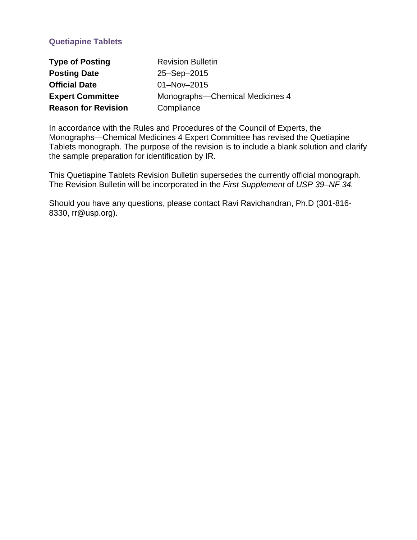# **Quetiapine Tablets**

| <b>Type of Posting</b>     | <b>Revision Bulletin</b>        |
|----------------------------|---------------------------------|
| <b>Posting Date</b>        | 25-Sep-2015                     |
| <b>Official Date</b>       | $01 - Nov - 2015$               |
| <b>Expert Committee</b>    | Monographs-Chemical Medicines 4 |
| <b>Reason for Revision</b> | Compliance                      |

In accordance with the Rules and Procedures of the Council of Experts, the Monographs—Chemical Medicines 4 Expert Committee has revised the Quetiapine Tablets monograph. The purpose of the revision is to include a blank solution and clarify the sample preparation for identification by IR.

This Quetiapine Tablets Revision Bulletin supersedes the currently official monograph. The Revision Bulletin will be incorporated in the *First Supplement* of *USP 39–NF 34.*

Should you have any questions, please contact Ravi Ravichandran, Ph.D (301-816- 8330, rr@usp.org).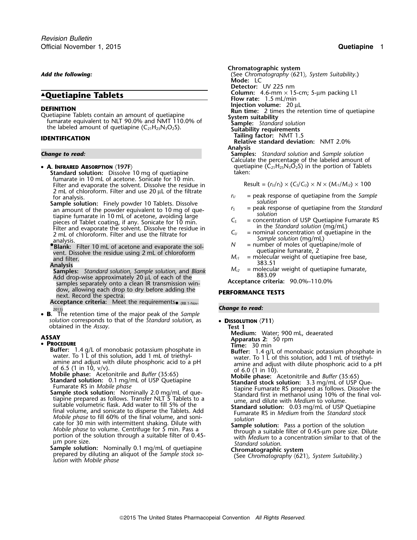## **.Quetiapine Tablets Flow rate:** 1.5 mL/min

- A. INFRARED ABSORPTION  $\langle 197F \rangle$ 
	- **Standard solution:** Dissolve 10 mg of quetiapine fumarate in 10 mL of acetone. Sonicate for 10 min. Filter and evaporate the solvent. Dissolve the residue in Result =  $(r_0/r_s) \times (C_s/C_0) \times N \times (M_t/M_t z) \times 100$ 2 mL of chloroform. Filter and use 20  $\mu$ L of the filtrate for analysis.
	- *r*<sub>*U*</sub> = peak response of quetiapine from the *Sample*<br> **Sample solution:** Finely powder 10 Tablets. Dissolve<br>
	an amount of the powder equivalent to 10 mg of que-<br> *r<sub>s</sub>* = peak response of quetiapine from the *Standard* an amount of the powder equivalent to 10 mg of que-<br>tiapine fumarate in 10 mL of acetone, avoiding large<br>pieces of Tablet coating, if any. Sonicate for 10 min.<br>Filter and evaporate the solvent. Dissolve the residue in<br>2 m

**•Blank:** Filter 10 mL of acetone and evaporate the sol-<br>
vent. Dissolve the residue using 2 mL of chloroform<br>
and filter.<br>
and filter. **Analysis** 383.51

**Analysis**<br> **Samples:** *Standard solution, Sample solution, and Blank*  $M_{r2}$  = molecular weight of quetiapine fumarate,<br>
Add drop-wise approximately 20 µL of each of the 883.09<br>
Samples separately onto a clean IR transmi samples separately onto a clean IR transmission window, allowing each drop to dry before adding the **PERFORMANCE TESTS** next. Record the spectra.

**Acceptance criteria:** Meet the requirements• (RB 1-Nov-

• **B.** The retention time of the major peak of the *Sample solution* corresponds to that of the *Standard solution*, as • **<sup>D</sup>ISSOLUTION** 〈**711**〉 obtained in the *Assay*. **Test 1**

**ASSAY**<br> **Medium:** Water; 900 mL, deaerated<br> **PROCEDURE**<br> **Buffer:** 1.4 g/L of monobasic potassium phosphate in<br> **Buffer:** 1.4 g/L of monobasic potassium phosphate in<br> **Buffer:** 1.4 g/L of monobasic potassium phosphate in

**PROCEDURE TEACH OF THE CALCE TRANSFERIMATE SOME THE CALCE TRANSFERIMATE TO 1 L of this solution, add 1 mL of triethyl-<br>
antine and adjust with dilute phosphoric acid to a pH<br>
of 6.5 (1 in 10, y/v).<br>
of 6.5 (1 in 10, y/v)** 

portion of the solution through a suitable filter of 0.45-<br>
um pore size.<br> **Sample solution:** Nominally 0.1 mg/mL of quetiapine<br>
prepared by diluting an aliquot of the *Sample stock so*-<br>
lution with *Mobile phase*<br>
lution

**Chromatographic system Add the following:** (See *Chromatography*  $\langle$  621 $\rangle$  *System Suitability*.) **Mode:** LC . **Detector:** UV 225 nm Column: 4.6-mm × 15-cm; 5-µm packing L1 Flow rate: 1.5 mL/min **DEFINITION**<br>
Quetiapine Tablets contain an amount of quetiapine<br>
fumarate equivalent to NLT 90.0% and NMT 110.0% of<br>
the labeled amount of quetiapine (C<sub>21</sub>H<sub>25</sub>N<sub>3</sub>O<sub>2</sub>S).<br> **IDENTIFICATION**<br> **IDENTIFICATION**<br> **IDENTIFIC Tailing factor:** NMT 1.5<br>**Relative standard deviation:** NMT 2.0% **Analysis** *Change to read:* **Samples:** *Standard solution* and *Sample solution* Calculate the percentage of the labeled amount of quetiapine (C<sub>21</sub>H<sub>25</sub>N<sub>3</sub>O<sub>2</sub>S) in the portion of Tablets taken:

- 
- 
- 
- 
- 
- 
- 

## **Change to read:**

- 
- 
- 
- 
-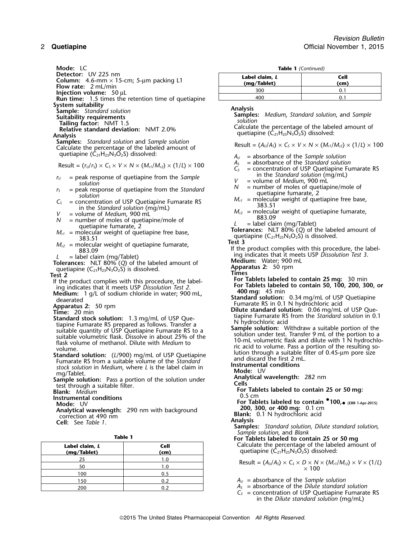**Mode:** LC<br>**Detector:** UV 225 nm **Column:** 4.6-mm × 15-cm; 5-µm packing L1 **Flow rate:** 2 mL/min 30.1 **Flow rate:** 2 mL/min 300 0.1 **Injection volume:** 50 µL **Run time:** 1.5 times the retention time of quetiapine System suitability System suitability<br>
Sample: Standard solution<br>
Suitability requirements<br>
Tailing factor: NMT 1.5<br>
Tailing factor: NMT 1.5<br>
Relative standard deviation: NMT 2.0%<br>
Relative standard deviation: NMT 2.0%<br>
Relative standard dev

**Relative standard deviation:** NMT 2.0%<br> **Analysis** dissolved:  $\frac{1}{2}$  dissolved:  $\frac{1}{2}$  dissolved:  $\frac{1}{2}$  dissolved:  $\frac{1}{2}$  dissolved:  $\frac{1}{2}$  dissolved:  $\frac{1}{2}$  dissolved:  $\frac{1}{2}$  dissolved:  $\frac{1}{2}$  d

**Samples:** Standard solution and Sample solution  $\blacksquare$  Result = (A<sub>u</sub>/A<sub>s</sub>) × C<sub>s</sub> × V × N × (M<sub>r1</sub>/M<sub>r2</sub>) × (1/L) × 100<br>Calculate the percentage of the labeled amount of quetiapine (C21H25N3O2S) dissolved: *<sup>A</sup><sup>U</sup>* = absorbance of the *Sample solution*

- 
- $r_0$  = peak response of quetiapine from the *Sample*<br>
solution<br>  $r_5$  = peak response of quetiapine from the *Standard*<br>
solution<br>  $r_5$  = concentration of USP Quetiapine Fumarate RS<br>  $r_5$  = concentration of USP Quetiap
- 
- 
- 
- quetiapine fumarate, 2<br>  $M_{r1}$  = molecular weight of quetiapine free base, **Tolerances:** NLT 80% (*Q*) of the labeled amount of<br>  $M_{r2}$  = molecular weight of quetiapine fumarate **Test 3**<br> **Tolerances:** NLT 80% (*Q*) of
- $M_{r2}$  = molecular weight of quetiapine fumarate,<br>
883.09<br>
L = label claim (mg/Tablet)<br>
Tolerances: NLT 80% (Q) of the labeled amount of<br>
quetiapine (C<sub>21</sub>H<sub>25</sub>N<sub>3</sub>O<sub>2</sub>S) is dissolved.<br>
Apparatus 2: 50 rpm

- 
- 

stock solution in Medium, where L is the label claim in<br>mg/Tablet.<br>**Mode:** UV **ablet.**<br>**Analytical wavelength:** 282 nm

**Sample solution:** Pass a portion of the solution under **Analytical Wavelength:** 282 nm engths in the through a suitable filter

**Instrumental conditions** 

**Analytical wavelength:** 290 nm with background **200, 300, or 400 mg:** 0.1 cm

| ٠<br>u<br>M<br>٠ |  |
|------------------|--|
|------------------|--|

| Label claim, L<br>(mg/Tablet) | Cell<br>$(cm)$ |
|-------------------------------|----------------|
| 25                            | 1.0            |
| 50                            | 1.0            |
| 100                           | 0.5            |
| 150                           | 0.2            |
| zuu                           |                |

| <b>Table 1</b> (Continued) |
|----------------------------|
|                            |

|                               | .            |
|-------------------------------|--------------|
| Label claim, L<br>(mg/Tablet) | Cell<br>(cm) |
| 300                           |              |
| 100                           |              |

- 
- 
- Result =  $(r_0/r_s) \times C_s \times V \times N \times (M_{r_1}/M_{r_2}) \times (1/L) \times 100$ <br>  $C_s$  = absorbance of the Standard solution<br>  $C_s$  = concentration of USP Quetiapine Fumarate RS<br>
in the Standard solution (mg/mL)
	-
	-
	-
	-
	-

- Times<br>
Test 2<br>
If the product complies with this procedure, the label-<br>
If the product complies with this procedure, the label-<br>
If the product complies with this procedure, the label-<br>
If the product complies with this pr
	-
	-
- Medium: 1 g/L of sodium chloride in water; 900 mL,<br> **A00 mg:** 45 min<br>
deaerated<br>
Funarate RS in 0.1 N hydrochloric acid<br>
Time: 20 min<br>
Standard stock solution: 1.3 mg/mL of USP Que-<br>
Time: 20 min<br>
Standard stock solution:
	-
	- -
	-
- test through a suitable filter.<br> **Blank:** Medium<br> **For Tablets labeled to contain 25 or 50 mg:**<br> **Post-importal conditions**<br> **Post-importal conditions**
- **Mode:** UV **For Tablets labeled to contain <sup>•</sup><b>100,•** (ERR 1-Apr-2015)<br> **Mode:** UV<br> **Analytical wavelength:** 290 nm with background<br> **Analytical wavelength:** 290 nm with background<br> **Analytical wavelength:** 290 nm with ba
	-
	-
- **Blank:** 0.1 N analysis<br>**Cell:** See *Table 1*. **Samples:** *Standard solution, Dilute standard solution, Samples: Standard solution, Dilute standard solution, Sample solution*, and *Blank*
	- **Table 1 For Tablets labeled to contain 25 or 50 mg Label claim,** *<sup>L</sup>* **Cell** Calculate the percentage of the labeled amount of quetiapine (C<sub>21</sub>H<sub>25</sub>N<sub>3</sub>O<sub>2</sub>S) dissolved:

$$
\begin{array}{c|c}\n 25 & 1.0 & \text{Result} = (A_U/A_S) \times C_S \times D \times N \times (M_{r1}/M_{r2}) \times V \times (1/L) \\
 \hline\n 50 & \text{1.0} & \times 100\n \end{array}
$$

- 
- $A_U$  = absorbance of the *Sample solution*<br> $A_S$  = absorbance of the *Dilute standard* <sup>200</sup> 0.2 *A<sup>S</sup>* = absorbance of the *Dilute standard solution*
- $C<sub>S</sub>$  = concentration of USP Quetiapine Fumarate RS
	- in the *Dilute standard solution* (mg/mL)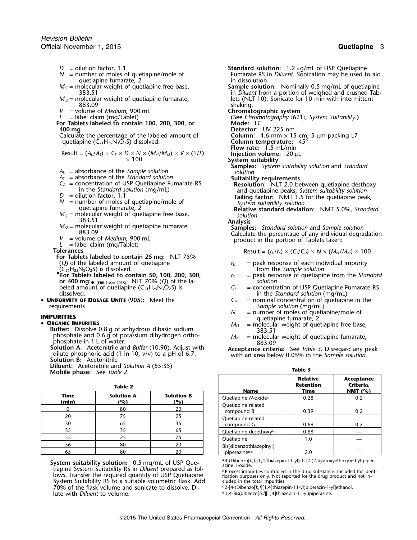- 
- 
- quetiapine fumarate, 2<br> $M_{r1}$  = molecular weight of quetiapine free base,
- 
- *V* = volume of *Medium*, 900 mL<br>*L* = label claim (mg/Tablet)
- 
- **For Tablets labeled to contain 100, 200, 300, or Mode:** LC

Calculate the percentage of the labeled amount of **Column:**  $4.6\text{-mm} \times 15\text{-cm}$ <br>quetiapine (C<sub>21</sub>H<sub>25</sub>N<sub>3</sub>O<sub>2</sub>S) dissolved: **Column temperature:**  $45^\circ$ quetiapine (C<sub>21</sub>H<sub>25</sub>N<sub>3</sub>O<sub>2</sub>S) dissolved:

$$
Result = (AU/AS) \times CS \times D \times N \times (Mr1/Mr2) \times V \times (1/L)
$$
  
× 100

- $A_U$  = absorbance of the *Sample solution*
- 
- 
- 
- 
- *Mr1* = molecular weight of quetiapine free base, *solution*
- 
- 
- *L* = label claim (mg/Tablet)
- 
- **For Tablets labeled to contain 25 mg:** NLT 75%
- 
- **or 400 mg:• (ERR 1-Apr-2015)** NLT 70% (*Q*) of the la- *solution*
- **UNIFORMITY OF DOSAGE UNITS** 〈**905**〉**:** Meet the *C<sup>U</sup>* = nominal concentration of quetiapine in the requirements *Sample solution* (mg/mL)

### •

- **Buffer:** Dissolve 0.8 g of anhydrous dibasic sodium 383.51 <sup>p</sup>hosphate and 0.6 g of potassium dihydrogen ortho- *<sup>M</sup>r2* = molecular weight of quetiapine fumarate, phosphate in 1 L of water.<br> **Solution A:** Acetonitrile and *Buffer* (10:90). Adjust with **Acceptance crite**
- 
- **Diluent:** Acetonitrile and *Solution A* (65:35) **Mobile phase:** See Table 2.

| $\sim$<br>M<br>۰. |  |
|-------------------|--|
|-------------------|--|

|       |                   |                   | Name                            | Time | NM <sup>-</sup> |
|-------|-------------------|-------------------|---------------------------------|------|-----------------|
| Time  | <b>Solution A</b> | <b>Solution B</b> | Quetiapine N-oxide <sup>a</sup> | 0.28 |                 |
| (min) | (%)               | (%)               | Quetiapine related              |      |                 |
|       | 80                | 20                | compound B                      | 0.39 |                 |
| 20    |                   | 25                | Quetiapine related              |      |                 |
| 30    | 65                | 35                | compound G                      | 0.69 |                 |
| 35    | 35                | 65                | Quetiapine desethoxyb,c         | 0.88 |                 |
| 55    | 25                | 75                | Quetiapine                      | 1.0  |                 |
| 56    | 80                | 20                | Bis(dibenzothiazepinyl)         |      |                 |
| 65    | 80                | 20                | piperazineb,d                   | 2.0  |                 |

System suitability solution: 0.5 mg/mL of USP Que-<br>
tiapine System Suitability RS in *Diluent* prepared as fol-<br>
lows. Transfer the required quantity of USP Quetiapine<br>
fication purposes impurities controlled in the drug s System Suitability RS to a suitable volumetric flask. Add cluded in the total impurities.<br>70% of the flask volume and sonicate to dissolve. Di-<br>2-[4-(Dibenzo[b,f][1,4]thiazepin-11-yl]piperazin-1-yl]ethanol.  $70%$  of the flask volume and sonicate to dissolve. Did lute with *Diluent* to volume. .1,4-Bis(dibenzo[*b,f*][1,4]thiazepin-11-yl)piperazine.

*D* = dilution factor, 1.1 **Standard solution:** 1.2 µg/mL of USP Quetiapine<br> *N* = number of moles of quetiapine/mole of **Fumarate RS** in *Diluent*. Sonication may be used to *Fumarate RS in Diluent.* Sonication may be used to aid in dissolution. *Mr1* = molecular weight of quetiapine free base, **Sample solution:** Nominally 0.5 mg/mL of quetiapine 383.51 in *Diluent* from a portion of weighed and crushed Tab-<br>M<sub>c2</sub> = molecular weight of quetiapine fumarate, lets (NLT 10). Sonicate for 10 min with intermittent nolecular weight of quetiapine fumarate, lets (NLT 10). Sonicate for 10 min with intermittent<br>883.09 shaking.<br>Chromatographic system *L* (See *Chromatography*  $\langle 621 \rangle$ , *System Suitability.)* **Mode:** LC **400 Detector:** UV 225 nm<br>**Column:** 4.6-mm × 15-cm; 5-µm packing L7 **Flow rate:** 1.5 mL/min Result = (*AU*/*AS*) <sup>×</sup> *<sup>C</sup><sup>S</sup>* <sup>×</sup> *<sup>D</sup>* <sup>×</sup> *<sup>N</sup>* <sup>×</sup> (*Mr1*/*Mr2*) <sup>×</sup> *<sup>V</sup>* <sup>×</sup> (1/*L*) **Injection volume:**<sup>20</sup> <sup>µ</sup><sup>L</sup> <sup>×</sup><sup>100</sup> **System suitability Samples:** *System suitability solution* and *Standard*  $A_s$  = absorbance of the *Standard solution*<br>  $C_s$  = concentration of USP Quetiapine Fumarate RS<br>
in the *Standard solution* (mg/mL)<br>  $D$  = dilution factor, 1.1<br>  $N$  = number of moles of quetiapine/mole of<br>
quetiapine fum Relative standard deviation: NMT 5.0%, Standard 383.51<br>  $M_{r2}$  = molecular weight of quetiapine fumarate,<br>
883.09<br>  $V =$  volume of *Medium*, 900 mL<br>
383.09<br>
200 mL<br>
200 mL<br>
200 mL<br>
200 mL<br>
200 mL<br>
200 mL<br>
200 mL<br>
200 mL<br>
200 product in the portion of Tablets taken: **Tolerances** Result = ( $r_U/r_S$ ) × ( $C_S/C_U$ ) × N × ( $M_{rI}/M_{r2}$ ) × 100 (Q) of the labeled amount of quetiapine  $r_U =$  peak response of each individual impurity  $( C_{21} H_{25} N_3 O_2 S )$  is dissolved. (C21H25N3O2S) is dissolved. from the *Sample solution* **•.For Tablets labeled to contain 50, 100, 200, 300,** *<sup>r</sup><sup>S</sup>* = peak response of quetiapine from the *Standard* beled amount of quetiapine  $(C_{21}H_{25}N_3O_2S)$  is  $C_5$  = concentration of USP Quetiapine Fumarate RS dissolved.<br> **GRMITY OF DOSAGE UNITS** (905): Meet the **interpretisting the Standard solution** (mg/mL) contration of quetiapine in the

- 
- *<sup>N</sup>* = number of moles of quetiapine/mole of **IMPURITIES** quetiapine fumarate, 2
	-
	-

**Solution A:** Acetonitrile and *Buffer* (10:90). Adjust with **Acceptance criteria:** See *Table 3*. Disregard any peak dilute phosphoric acid (1 in 10, v/v) to a pH of 6.7. with an area below 0.05% in the *Sample solution*.

|--|--|

|               | oile phase: See <i>Table 2</i> . |                          |                                  |                                      |                                      |
|---------------|----------------------------------|--------------------------|----------------------------------|--------------------------------------|--------------------------------------|
|               | Table 2                          |                          | <b>Name</b>                      | <b>Relative</b><br>Retention<br>Time | Acceptance<br>Criteria,<br>NMT $(%)$ |
| Time<br>(min) | <b>Solution A</b><br>(%)         | <b>Solution B</b><br>(%) | Quetiapine N-oxide <sup>a</sup>  | 0.28                                 | 0.2                                  |
|               | 80                               | 20                       | Quetiapine related<br>compound B | 0.39                                 | 0.2                                  |
| 20            | 75                               | 25                       | Quetiapine related               |                                      |                                      |
| 30            | 65                               | 35                       | compound G                       | 0.69                                 | 0.2                                  |
| 35            | 35                               | 65                       | Quetiapine desethoxyb,c          | 0.88                                 |                                      |
| 55            | 25                               | 75                       | Quetiapine                       | 1.0                                  |                                      |
| -56           | 80                               | 20                       | Bis(dibenzothiazepinyl)          |                                      |                                      |
| 65            | 80                               | 20                       | piperazineb,d                    | 2.0                                  |                                      |

a 4-(Dibenzo[b,f][1,4]thiazepin-11-yl)-1-[2-(2-hydroxyethoxy)ethyl]piper-

Frocess impurities controlled in the drug substance. Included in the reduction purposes only. Not reported for the drug product and not in-<br>cluded in the total impurities.